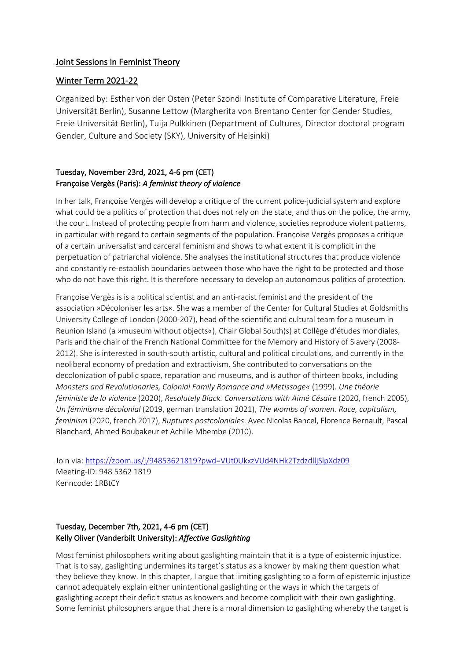## Joint Sessions in Feminist Theory

#### Winter Term 2021-22

Organized by: Esther von der Osten (Peter Szondi Institute of Comparative Literature, Freie Universität Berlin), Susanne Lettow (Margherita von Brentano Center for Gender Studies, Freie Universität Berlin), Tuija Pulkkinen (Department of Cultures, Director doctoral program Gender, Culture and Society (SKY), University of Helsinki)

## Tuesday, November 23rd, 2021, 4-6 pm (CET) Françoise Vergès (Paris): *A feminist theory of violence*

In her talk, Françoise Vergès will develop a critique of the current police-judicial system and explore what could be a politics of protection that does not rely on the state, and thus on the police, the army, the court. Instead of protecting people from harm and violence, societies reproduce violent patterns, in particular with regard to certain segments of the population. Françoise Vergès proposes a critique of a certain universalist and carceral feminism and shows to what extent it is complicit in the perpetuation of patriarchal violence. She analyses the institutional structures that produce violence and constantly re-establish boundaries between those who have the right to be protected and those who do not have this right. It is therefore necessary to develop an autonomous politics of protection.

Françoise Vergès is is a political scientist and an anti-racist feminist and the president of the association »Décoloniser les arts«. She was a member of the Center for Cultural Studies at Goldsmiths University College of London (2000-207), head of the scientific and cultural team for a museum in Reunion Island (a »museum without objects«), Chair Global South(s) at Collège d'études mondiales, Paris and the chair of the French National Committee for the Memory and History of Slavery (2008- 2012). She is interested in south-south artistic, cultural and political circulations, and currently in the neoliberal economy of predation and extractivism. She contributed to conversations on the decolonization of public space, reparation and museums, and is author of thirteen books, including *Monsters and Revolutionaries, Colonial Family Romance and »Metissage«* (1999). *Une théorie féministe de la violence* (2020), *Resolutely Black. Conversations with Aimé Césaire* (2020, french 2005), *Un féminisme décolonial* (2019, german translation 2021), *The wombs of women. Race, capitalism, feminism* (2020, french 2017), *Ruptures postcoloniales*. Avec Nicolas Bancel, Florence Bernault, Pascal Blanchard, Ahmed Boubakeur et Achille Mbembe (2010).

Join via: https://zoom.us/j/94853621819?pwd=VUt0UkxzVUd4NHk2TzdzdlljSlpXdz09 Meeting-ID: 948 5362 1819 Kenncode: 1RBtCY

# Tuesday, December 7th, 2021, 4-6 pm (CET) Kelly Oliver (Vanderbilt University): *Affective Gaslighting*

Most feminist philosophers writing about gaslighting maintain that it is a type of epistemic injustice. That is to say, gaslighting undermines its target's status as a knower by making them question what they believe they know. In this chapter, I argue that limiting gaslighting to a form of epistemic injustice cannot adequately explain either unintentional gaslighting or the ways in which the targets of gaslighting accept their deficit status as knowers and become complicit with their own gaslighting. Some feminist philosophers argue that there is a moral dimension to gaslighting whereby the target is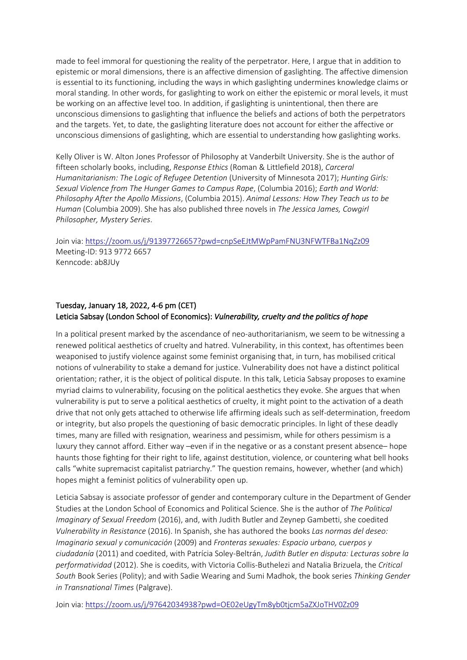made to feel immoral for questioning the reality of the perpetrator. Here, I argue that in addition to epistemic or moral dimensions, there is an affective dimension of gaslighting. The affective dimension is essential to its functioning, including the ways in which gaslighting undermines knowledge claims or moral standing. In other words, for gaslighting to work on either the epistemic or moral levels, it must be working on an affective level too. In addition, if gaslighting is unintentional, then there are unconscious dimensions to gaslighting that influence the beliefs and actions of both the perpetrators and the targets. Yet, to date, the gaslighting literature does not account for either the affective or unconscious dimensions of gaslighting, which are essential to understanding how gaslighting works.

Kelly Oliver is W. Alton Jones Professor of Philosophy at Vanderbilt University. She is the author of fifteen scholarly books, including, *Response Ethics* (Roman & Littlefield 2018), *Carceral Humanitarianism: The Logic of Refugee Detention* (University of Minnesota 2017); *Hunting Girls: Sexual Violence from The Hunger Games to Campus Rape*, (Columbia 2016); *Earth and World: Philosophy After the Apollo Missions*, (Columbia 2015). *Animal Lessons: How They Teach us to be Human* (Columbia 2009). She has also published three novels in *The Jessica James, Cowgirl Philosopher, Mystery Series*.

Join via: https://zoom.us/j/91397726657?pwd=cnpSeEJtMWpPamFNU3NFWTFBa1NqZz09 Meeting-ID: 913 9772 6657 Kenncode: ab8JUy

# Tuesday, January 18, 2022, 4-6 pm (CET) Leticia Sabsay (London School of Economics): *Vulnerability, cruelty and the politics of hope*

In a political present marked by the ascendance of neo-authoritarianism, we seem to be witnessing a renewed political aesthetics of cruelty and hatred. Vulnerability, in this context, has oftentimes been weaponised to justify violence against some feminist organising that, in turn, has mobilised critical notions of vulnerability to stake a demand for justice. Vulnerability does not have a distinct political orientation; rather, it is the object of political dispute. In this talk, Leticia Sabsay proposes to examine myriad claims to vulnerability, focusing on the political aesthetics they evoke. She argues that when vulnerability is put to serve a political aesthetics of cruelty, it might point to the activation of a death drive that not only gets attached to otherwise life affirming ideals such as self-determination, freedom or integrity, but also propels the questioning of basic democratic principles. In light of these deadly times, many are filled with resignation, weariness and pessimism, while for others pessimism is a luxury they cannot afford. Either way –even if in the negative or as a constant present absence– hope haunts those fighting for their right to life, against destitution, violence, or countering what bell hooks calls "white supremacist capitalist patriarchy." The question remains, however, whether (and which) hopes might a feminist politics of vulnerability open up.

Leticia Sabsay is associate professor of gender and contemporary culture in the Department of Gender Studies at the London School of Economics and Political Science. She is the author of *The Political Imaginary of Sexual Freedom* (2016), and, with Judith Butler and Zeynep Gambetti, she coedited *Vulnerability in Resistance* (2016). In Spanish, she has authored the books *Las normas del deseo: Imaginario sexual y comunicación* (2009) and *Fronteras sexuales: Espacio urbano, cuerpos y ciudadanía* (2011) and coedited, with Patrícia Soley-Beltrán, *Judith Butler en disputa: Lecturas sobre la performatividad* (2012). She is coedits, with Victoria Collis-Buthelezi and Natalia Brizuela, the *Critical South* Book Series (Polity); and with Sadie Wearing and Sumi Madhok, the book series *Thinking Gender in Transnational Times* (Palgrave).

Join via: https://zoom.us/j/97642034938?pwd=OE02eUgyTm8yb0tjcm5aZXJoTHV0Zz09